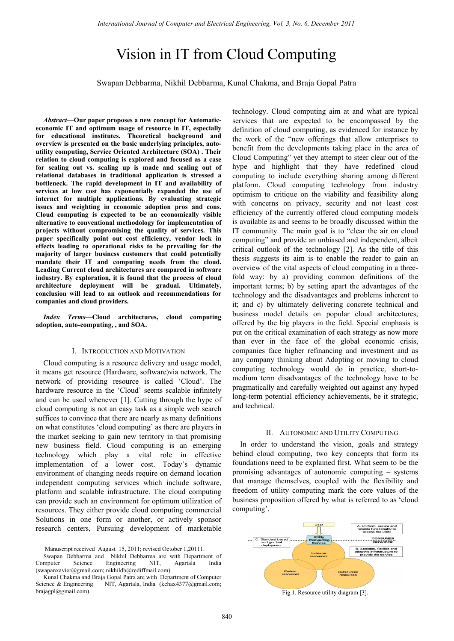# Vision in IT from Cloud Computing

Swapan Debbarma, Nikhil Debbarma, Kunal Chakma, and Braja Gopal Patra

*Abstract***—Our paper proposes a new concept for Automaticeconomic IT and optimum usage of resource in IT, especially for educational institutes. Theoretical background and overview is presented on the basic underlying principles, autoutility computing, Service Oriented Architecture (SOA) . Their relation to cloud computing is explored and focused as a case for scaling out vs. scaling up is made and scaling out of relational databases in traditional application is stressed a bottleneck. The rapid development in IT and availability of services at low cost has exponentially expanded the use of internet for multiple applications. By evaluating strategic issues and weighting in economic adoption pros and cons. Cloud computing is expected to be an economically visible alternative to conventional methodology for implementation of projects without compromising the quality of services. This paper specifically point out cost efficiency, vendor lock in effects leading to operational risks to be prevailing for the majority of larger business customers that could potentially mandate their IT and computing needs from the cloud. Leading Current cloud architectures are compared in software industry. By exploration, it is found that the process of cloud architecture deployment will be gradual. Ultimately, conclusion will lead to an outlook and recommendations for companies and cloud providers.** 

*Index Terms***—Cloud architectures, cloud computing adoption, auto-computing, , and SOA.** 

#### I. INTRODUCTION AND MOTIVATION

Cloud computing is a resource delivery and usage model, it means get resource (Hardware, software)via network. The network of providing resource is called 'Cloud'. The hardware resource in the 'Cloud' seems scalable infinitely and can be used whenever [1]. Cutting through the hype of cloud computing is not an easy task as a simple web search suffices to convince that there are nearly as many definitions on what constitutes 'cloud computing' as there are players in the market seeking to gain new territory in that promising new business field. Cloud computing is an emerging technology which play a vital role in effective implementation of a lower cost. Today's dynamic environment of changing needs require on demand location independent computing services which include software, platform and scalable infrastructure. The cloud computing can provide such an environment for optimum utilization of resources. They either provide cloud computing commercial Solutions in one form or another, or actively sponsor research centers, Pursuing development of marketable

Swapan Debbarma and Nikhil Debbarma are with Department of Computer Science Engineering NIT, Agartala India (swapanxavier@gmail.com; nikhildb@rediffmail.com).

Kunal Chakma and Braja Gopal Patra are with Department of Computer Science & Engineering NIT, Agartala, India (kchax4377@gmail.com; brajagpl@gmail.com).

technology. Cloud computing aim at and what are typical services that are expected to be encompassed by the definition of cloud computing, as evidenced for instance by the work of the "new offerings that allow enterprises to benefit from the developments taking place in the area of Cloud Computing" yet they attempt to steer clear out of the hype and highlight that they have redefined cloud computing to include everything sharing among different platform. Cloud computing technology from industry optimism to critique on the viability and feasibility along with concerns on privacy, security and not least cost efficiency of the currently offered cloud computing models is available as and seems to be broadly discussed within the IT community. The main goal is to "clear the air on cloud computing" and provide an unbiased and independent, albeit critical outlook of the technology [2]. As the title of this thesis suggests its aim is to enable the reader to gain an overview of the vital aspects of cloud computing in a threefold way: by a) providing common definitions of the important terms; b) by setting apart the advantages of the technology and the disadvantages and problems inherent to it; and c) by ultimately delivering concrete technical and business model details on popular cloud architectures, offered by the big players in the field. Special emphasis is put on the critical examination of each strategy as now more than ever in the face of the global economic crisis, companies face higher refinancing and investment and as any company thinking about Adopting or moving to cloud computing technology would do in practice, short-tomedium term disadvantages of the technology have to be pragmatically and carefully weighted out against any hyped long-term potential efficiency achievements, be it strategic, and technical.

#### II. AUTONOMIC AND UTILITY COMPUTING

In order to understand the vision, goals and strategy behind cloud computing, two key concepts that form its foundations need to be explained first. What seem to be the promising advantages of autonomic computing – systems that manage themselves, coupled with the flexibility and freedom of utility computing mark the core values of the business proposition offered by what is referred to as 'cloud computing'.



Fig.1. Resource utility diagram [3].

Manuscript received August 15, 2011; revised October 1,20111.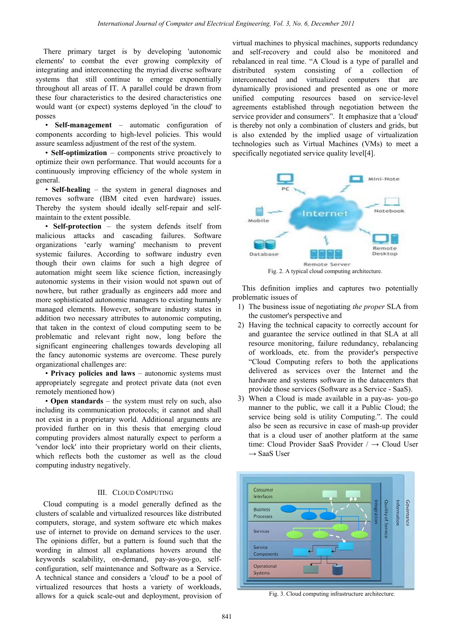There primary target is by developing 'autonomic elements' to combat the ever growing complexity of integrating and interconnecting the myriad diverse software systems that still continue to emerge exponentially throughout all areas of IT. A parallel could be drawn from these four characteristics to the desired characteristics one would want (or expect) systems deployed 'in the cloud' to posses

 • **Self-management** – automatic configuration of components according to high-level policies. This would assure seamless adjustment of the rest of the system.

 • **Self-optimization** – components strive proactively to optimize their own performance. That would accounts for a continuously improving efficiency of the whole system in general.

 • **Self-healing** – the system in general diagnoses and removes software (IBM cited even hardware) issues. Thereby the system should ideally self-repair and selfmaintain to the extent possible.

 • **Self-protection** – the system defends itself from malicious attacks and cascading failures. Software organizations 'early warning' mechanism to prevent systemic failures. According to software industry even though their own claims for such a high degree of automation might seem like science fiction, increasingly autonomic systems in their vision would not spawn out of nowhere, but rather gradually as engineers add more and more sophisticated autonomic managers to existing humanly managed elements. However, software industry states in addition two necessary attributes to autonomic computing, that taken in the context of cloud computing seem to be problematic and relevant right now, long before the significant engineering challenges towards developing all the fancy autonomic systems are overcome. These purely organizational challenges are:

 • **Privacy policies and laws** – autonomic systems must appropriately segregate and protect private data (not even remotely mentioned how)

 • **Open standards** – the system must rely on such, also including its communication protocols; it cannot and shall not exist in a proprietary world. Additional arguments are provided further on in this thesis that emerging cloud computing providers almost naturally expect to perform a 'vendor lock' into their proprietary world on their clients, which reflects both the customer as well as the cloud computing industry negatively.

### III. CLOUD COMPUTING

Cloud computing is a model generally defined as the clusters of scalable and virtualized resources like distributed computers, storage, and system software etc which makes use of internet to provide on demand services to the user. The opinions differ, but a pattern is found such that the wording in almost all explanations hovers around the keywords scalability, on-demand, pay-as-you-go, selfconfiguration, self maintenance and Software as a Service. A technical stance and considers a 'cloud' to be a pool of virtualized resources that hosts a variety of workloads, allows for a quick scale-out and deployment, provision of

virtual machines to physical machines, supports redundancy and self-recovery and could also be monitored and rebalanced in real time. "A Cloud is a type of parallel and distributed system consisting of a collection of interconnected and virtualized computers that are dynamically provisioned and presented as one or more unified computing resources based on service-level agreements established through negotiation between the service provider and consumers". It emphasize that a 'cloud' is thereby not only a combination of clusters and grids, but is also extended by the implied usage of virtualization technologies such as Virtual Machines (VMs) to meet a specifically negotiated service quality level[4].



 This definition implies and captures two potentially problematic issues of

- 1) The business issue of negotiating *the proper* SLA from the customer's perspective and
- 2) Having the technical capacity to correctly account for and guarantee the service outlined in that SLA at all resource monitoring, failure redundancy, rebalancing of workloads, etc. from the provider's perspective "Cloud Computing refers to both the applications delivered as services over the Internet and the hardware and systems software in the datacenters that provide those services (Software as a Service - SaaS).
- 3) When a Cloud is made available in a pay-as- you-go manner to the public, we call it a Public Cloud; the service being sold is utility Computing.". The could also be seen as recursive in case of mash-up provider that is a cloud user of another platform at the same time: Cloud Provider SaaS Provider / → Cloud User  $\rightarrow$  SaaS User



Fig. 3. Cloud computing infrastructure architecture.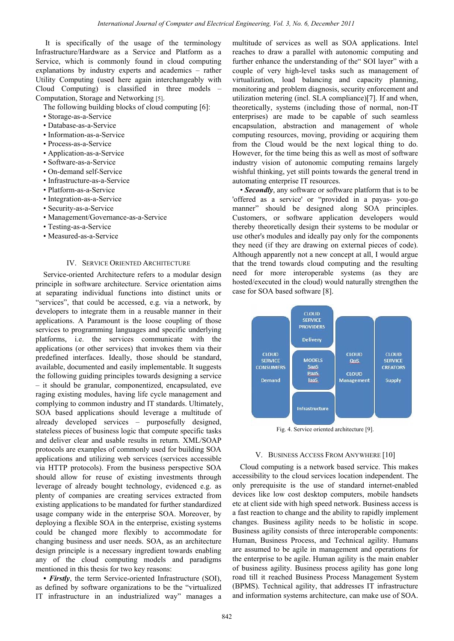It is specifically of the usage of the terminology Infrastructure/Hardware as a Service and Platform as a Service, which is commonly found in cloud computing explanations by industry experts and academics – rather Utility Computing (used here again interchangeably with Cloud Computing) is classified in three models – Computation, Storage and Networking [5].

The following building blocks of cloud computing [6]:

- Storage-as-a-Service
- Database-as-a-Service
- Information-as-a-Service
- Process-as-a-Service
- Application-as-a-Service
- Software-as-a-Service
- On-demand self-Service
- Infrastructure-as-a-Service
- Platform-as-a-Service
- Integration-as-a-Service
- Security-as-a-Service
- Management/Governance-as-a-Service
- Testing-as-a-Service
- Measured-as-a-Service

## IV. SERVICE ORIENTED ARCHITECTURE

Service-oriented Architecture refers to a modular design principle in software architecture. Service orientation aims at separating individual functions into distinct units or "services", that could be accessed, e.g. via a network, by developers to integrate them in a reusable manner in their applications. A Paramount is the loose coupling of those services to programming languages and specific underlying platforms, i.e. the services communicate with the applications (or other services) that invokes them via their predefined interfaces. Ideally, those should be standard, available, documented and easily implementable. It suggests the following guiding principles towards designing a service – it should be granular, componentized, encapsulated, eve raging existing modules, having life cycle management and complying to common industry and IT standards. Ultimately, SOA based applications should leverage a multitude of already developed services – purposefully designed, stateless pieces of business logic that compute specific tasks and deliver clear and usable results in return. XML/SOAP protocols are examples of commonly used for building SOA applications and utilizing web services (services accessible via HTTP protocols). From the business perspective SOA should allow for reuse of existing investments through leverage of already bought technology, evidenced e.g. as plenty of companies are creating services extracted from existing applications to be mandated for further standardized usage company wide in the enterprise SOA. Moreover, by deploying a flexible SOA in the enterprise, existing systems could be changed more flexibly to accommodate for changing business and user needs. SOA, as an architecture design principle is a necessary ingredient towards enabling any of the cloud computing models and paradigms mentioned in this thesis for two key reasons:

*• Firstly*, the term Service-oriented Infrastructure (SOI), as defined by software organizations to be the "virtualized IT infrastructure in an industrialized way" manages a multitude of services as well as SOA applications. Intel reaches to draw a parallel with autonomic computing and further enhance the understanding of the" SOI layer" with a couple of very high-level tasks such as management of virtualization, load balancing and capacity planning, monitoring and problem diagnosis, security enforcement and utilization metering (incl. SLA compliance)[7]. If and when, theoretically, systems (including those of normal, non-IT enterprises) are made to be capable of such seamless encapsulation, abstraction and management of whole computing resources, moving, providing or acquiring them from the Cloud would be the next logical thing to do. However, for the time being this as well as most of software industry vision of autonomic computing remains largely wishful thinking, yet still points towards the general trend in automating enterprise IT resources.

• *Secondly*, any software or software platform that is to be 'offered as a service' or "provided in a payas- you-go manner" should be designed along SOA principles. Customers, or software application developers would thereby theoretically design their systems to be modular or use other's modules and ideally pay only for the components they need (if they are drawing on external pieces of code). Although apparently not a new concept at all, I would argue that the trend towards cloud computing and the resulting need for more interoperable systems (as they are hosted/executed in the cloud) would naturally strengthen the case for SOA based software [8].



Fig. 4. Service oriented architecture [9].

## V. BUSINESS ACCESS FROM ANYWHERE [10]

Cloud computing is a network based service. This makes accessibility to the cloud services location independent. The only prerequisite is the use of standard internet-enabled devices like low cost desktop computers, mobile handsets etc at client side with high speed network. Business access is a fast reaction to change and the ability to rapidly implement changes. Business agility needs to be holistic in scope. Business agility consists of three interoperable components: Human, Business Process, and Technical agility. Humans are assumed to be agile in management and operations for the enterprise to be agile. Human agility is the main enabler of business agility. Business process agility has gone long road till it reached Business Process Management System (BPMS). Technical agility, that addresses IT infrastructure and information systems architecture, can make use of SOA.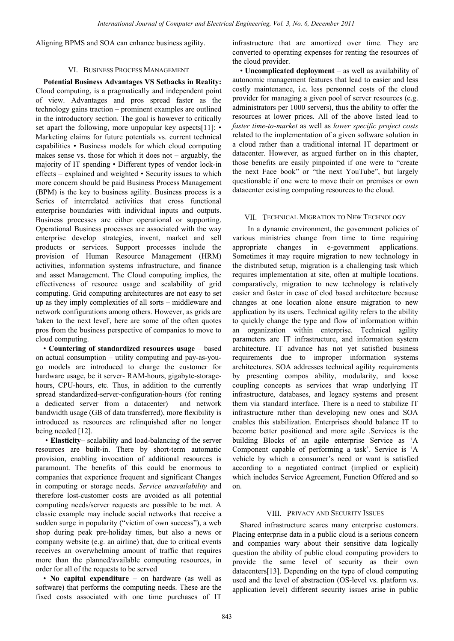Aligning BPMS and SOA can enhance business agility.

## VI. BUSINESS PROCESS MANAGEMENT

**Potential Business Advantages VS Setbacks in Reality:**  Cloud computing, is a pragmatically and independent point of view. Advantages and pros spread faster as the technology gains traction – prominent examples are outlined in the introductory section. The goal is however to critically set apart the following, more unpopular key aspects[11]: • Marketing claims for future potentials vs. current technical capabilities • Business models for which cloud computing makes sense vs. those for which it does not – arguably, the majority of IT spending • Different types of vendor lock-in effects – explained and weighted • Security issues to which more concern should be paid Business Process Management (BPM) is the key to business agility. Business process is a Series of interrelated activities that cross functional enterprise boundaries with individual inputs and outputs. Business processes are either operational or supporting. Operational Business processes are associated with the way enterprise develop strategies, invent, market and sell products or services. Support processes include the provision of Human Resource Management (HRM) activities, information systems infrastructure, and finance and asset Management. The Cloud computing implies, the effectiveness of resource usage and scalability of grid computing. Grid computing architectures are not easy to set up as they imply complexities of all sorts – middleware and network configurations among others. However, as grids are 'taken to the next level', here are some of the often quotes pros from the business perspective of companies to move to cloud computing.

• **Countering of standardized resources usage** – based on actual consumption – utility computing and pay-as-yougo models are introduced to charge the customer for hardware usage, be it server- RAM-hours, gigabyte-storagehours, CPU-hours, etc. Thus, in addition to the currently spread standardized-server-configuration-hours (for renting a dedicated server from a datacenter) and network bandwidth usage (GB of data transferred), more flexibility is introduced as resources are relinquished after no longer being needed [12].

 • **Elasticity**– scalability and load-balancing of the server resources are built-in. There by short-term automatic provision, enabling invocation of additional resources is paramount. The benefits of this could be enormous to companies that experience frequent and significant Changes in computing or storage needs. *Service unavailability* and therefore lost-customer costs are avoided as all potential computing needs/server requests are possible to be met. A classic example may include social networks that receive a sudden surge in popularity ("victim of own success"), a web shop during peak pre-holiday times, but also a news or company website (e.g. an airline) that, due to critical events receives an overwhelming amount of traffic that requires more than the planned/available computing resources, in order for all of the requests to be served

• **No capital expenditure** – on hardware (as well as software) that performs the computing needs. These are the fixed costs associated with one time purchases of IT

infrastructure that are amortized over time. They are converted to operating expenses for renting the resources of the cloud provider.

• **Uncomplicated deployment** – as well as availability of autonomic management features that lead to easier and less costly maintenance, i.e. less personnel costs of the cloud provider for managing a given pool of server resources (e.g. administrators per 1000 servers), thus the ability to offer the resources at lower prices. All of the above listed lead to *faster time-to-market* as well as *lower specific project costs*  related to the implementation of a given software solution in a cloud rather than a traditional internal IT department or datacenter. However, as argued further on in this chapter, those benefits are easily pinpointed if one were to "create the next Face book" or "the next YouTube", but largely questionable if one were to move their on premises or own datacenter existing computing resources to the cloud.

# VII. TECHNICAL MIGRATION TO NEW TECHNOLOGY

 In a dynamic environment, the government policies of various ministries change from time to time requiring appropriate changes in e-government applications. Sometimes it may require migration to new technology in the distributed setup, migration is a challenging task which requires implementation at site, often at multiple locations. comparatively, migration to new technology is relatively easier and faster in case of clod based architecture because changes at one location alone ensure migration to new application by its users. Technical agility refers to the ability to quickly change the type and flow of information within an organization within enterprise. Technical agility parameters are IT infrastructure, and information system architecture. IT advance has not yet satisfied business requirements due to improper information systems architectures. SOA addresses technical agility requirements by presenting compos ability, modularity, and loose coupling concepts as services that wrap underlying IT infrastructure, databases, and legacy systems and present them via standard interface. There is a need to stabilize IT infrastructure rather than developing new ones and SOA enables this stabilization. Enterprises should balance IT to become better positioned and more agile .Services is the building Blocks of an agile enterprise Service as 'A Component capable of performing a task'. Service is 'A vehicle by which a consumer's need or want is satisfied according to a negotiated contract (implied or explicit) which includes Service Agreement, Function Offered and so on.

## VIII. PRIVACY AND SECURITY ISSUES

Shared infrastructure scares many enterprise customers. Placing enterprise data in a public cloud is a serious concern and companies wary about their sensitive data logically question the ability of public cloud computing providers to provide the same level of security as their own datacenters[13]. Depending on the type of cloud computing used and the level of abstraction (OS-level vs. platform vs. application level) different security issues arise in public